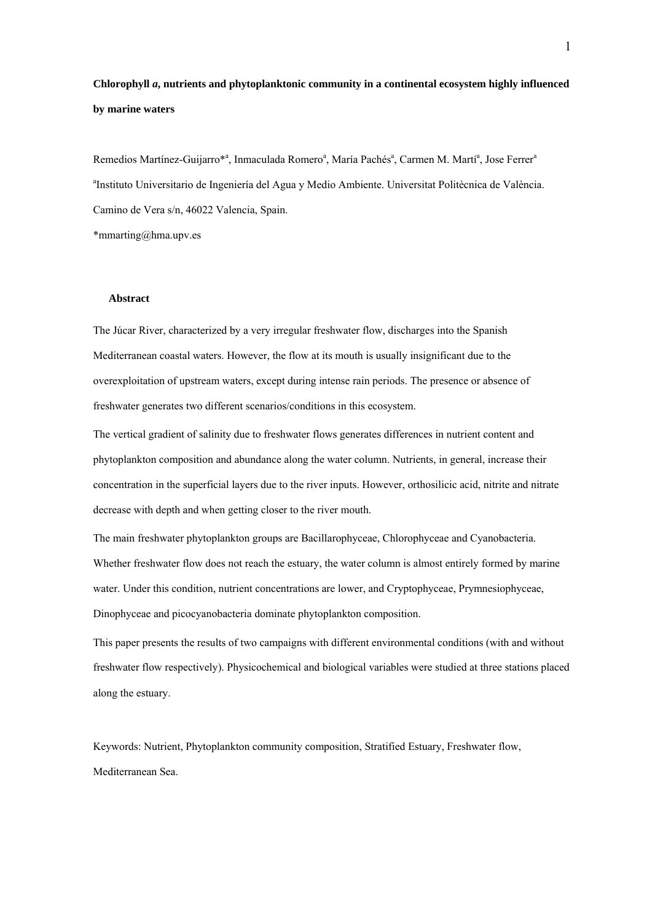# **Chlorophyll** *a***, nutrients and phytoplanktonic community in a continental ecosystem highly influenced by marine waters**

Remedios Martínez-Guijarro\*<sup>a</sup>, Inmaculada Romero<sup>a</sup>, María Pachés<sup>a</sup>, Carmen M. Martí<sup>a</sup>, Jose Ferrer<sup>a</sup> a Instituto Universitario de Ingeniería del Agua y Medio Ambiente. Universitat Politècnica de València. Camino de Vera s/n, 46022 Valencia, Spain.

\*mmarting@hma.upv.es

# **Abstract**

The Júcar River, characterized by a very irregular freshwater flow, discharges into the Spanish Mediterranean coastal waters. However, the flow at its mouth is usually insignificant due to the overexploitation of upstream waters, except during intense rain periods. The presence or absence of freshwater generates two different scenarios/conditions in this ecosystem.

The vertical gradient of salinity due to freshwater flows generates differences in nutrient content and phytoplankton composition and abundance along the water column. Nutrients, in general, increase their concentration in the superficial layers due to the river inputs. However, orthosilicic acid, nitrite and nitrate decrease with depth and when getting closer to the river mouth.

The main freshwater phytoplankton groups are Bacillarophyceae, Chlorophyceae and Cyanobacteria. Whether freshwater flow does not reach the estuary, the water column is almost entirely formed by marine water. Under this condition, nutrient concentrations are lower, and Cryptophyceae, Prymnesiophyceae, Dinophyceae and picocyanobacteria dominate phytoplankton composition.

This paper presents the results of two campaigns with different environmental conditions (with and without freshwater flow respectively). Physicochemical and biological variables were studied at three stations placed along the estuary.

Keywords: Nutrient, Phytoplankton community composition, Stratified Estuary, Freshwater flow, Mediterranean Sea.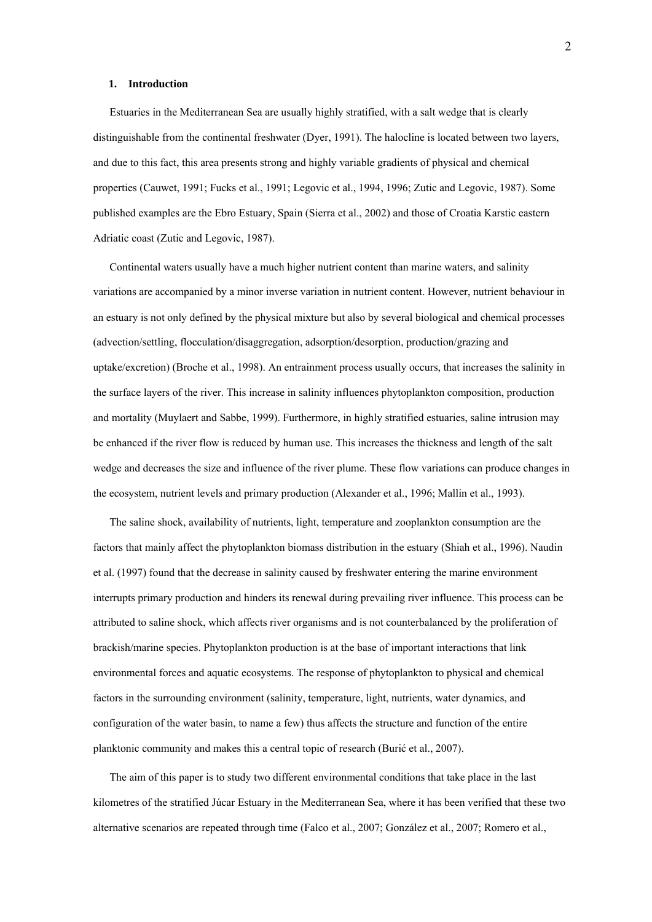#### **1. Introduction**

Estuaries in the Mediterranean Sea are usually highly stratified, with a salt wedge that is clearly distinguishable from the continental freshwater (Dyer, 1991). The halocline is located between two layers, and due to this fact, this area presents strong and highly variable gradients of physical and chemical properties (Cauwet, 1991; Fucks et al., 1991; Legovic et al., 1994, 1996; Zutic and Legovic, 1987). Some published examples are the Ebro Estuary, Spain (Sierra et al., 2002) and those of Croatia Karstic eastern Adriatic coast (Zutic and Legovic, 1987).

Continental waters usually have a much higher nutrient content than marine waters, and salinity variations are accompanied by a minor inverse variation in nutrient content. However, nutrient behaviour in an estuary is not only defined by the physical mixture but also by several biological and chemical processes (advection/settling, flocculation/disaggregation, adsorption/desorption, production/grazing and uptake/excretion) (Broche et al., 1998). An entrainment process usually occurs, that increases the salinity in the surface layers of the river. This increase in salinity influences phytoplankton composition, production and mortality (Muylaert and Sabbe, 1999). Furthermore, in highly stratified estuaries, saline intrusion may be enhanced if the river flow is reduced by human use. This increases the thickness and length of the salt wedge and decreases the size and influence of the river plume. These flow variations can produce changes in the ecosystem, nutrient levels and primary production (Alexander et al., 1996; Mallin et al., 1993).

The saline shock, availability of nutrients, light, temperature and zooplankton consumption are the factors that mainly affect the phytoplankton biomass distribution in the estuary (Shiah et al., 1996). Naudin et al. (1997) found that the decrease in salinity caused by freshwater entering the marine environment interrupts primary production and hinders its renewal during prevailing river influence. This process can be attributed to saline shock, which affects river organisms and is not counterbalanced by the proliferation of brackish/marine species. Phytoplankton production is at the base of important interactions that link environmental forces and aquatic ecosystems. The response of phytoplankton to physical and chemical factors in the surrounding environment (salinity, temperature, light, nutrients, water dynamics, and configuration of the water basin, to name a few) thus affects the structure and function of the entire planktonic community and makes this a central topic of research (Burić et al., 2007).

The aim of this paper is to study two different environmental conditions that take place in the last kilometres of the stratified Júcar Estuary in the Mediterranean Sea, where it has been verified that these two alternative scenarios are repeated through time (Falco et al., 2007; González et al., 2007; Romero et al.,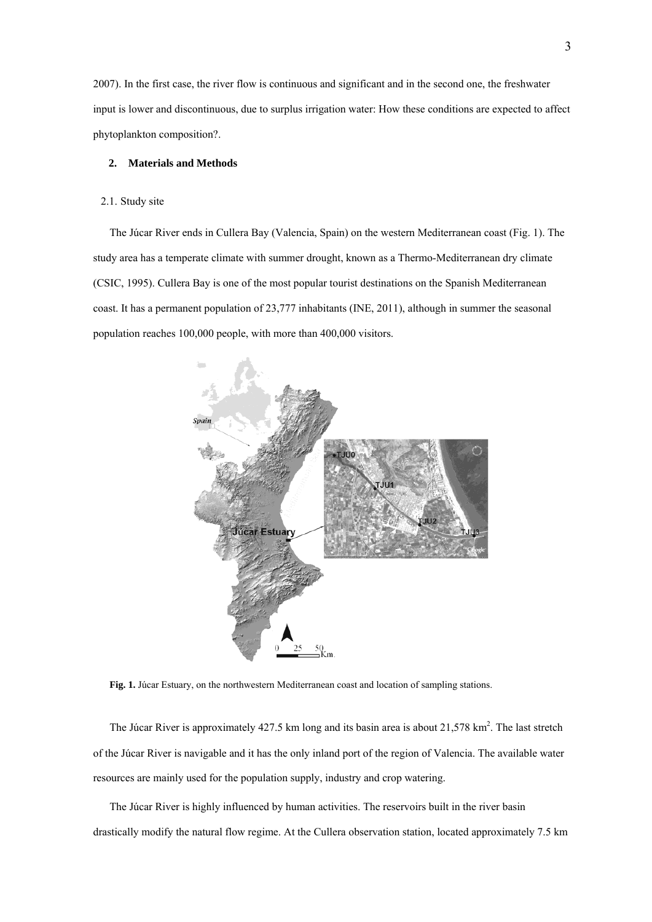2007). In the first case, the river flow is continuous and significant and in the second one, the freshwater input is lower and discontinuous, due to surplus irrigation water: How these conditions are expected to affect phytoplankton composition?.

# **2. Materials and Methods**

## 2.1. Study site

The Júcar River ends in Cullera Bay (Valencia, Spain) on the western Mediterranean coast (Fig. 1). The study area has a temperate climate with summer drought, known as a Thermo-Mediterranean dry climate (CSIC, 1995). Cullera Bay is one of the most popular tourist destinations on the Spanish Mediterranean coast. It has a permanent population of 23,777 inhabitants (INE, 2011), although in summer the seasonal population reaches 100,000 people, with more than 400,000 visitors.



**Fig. 1.** Júcar Estuary, on the northwestern Mediterranean coast and location of sampling stations.

The Júcar River is approximately  $427.5$  km long and its basin area is about  $21,578$  km<sup>2</sup>. The last stretch of the Júcar River is navigable and it has the only inland port of the region of Valencia. The available water resources are mainly used for the population supply, industry and crop watering.

The Júcar River is highly influenced by human activities. The reservoirs built in the river basin drastically modify the natural flow regime. At the Cullera observation station, located approximately 7.5 km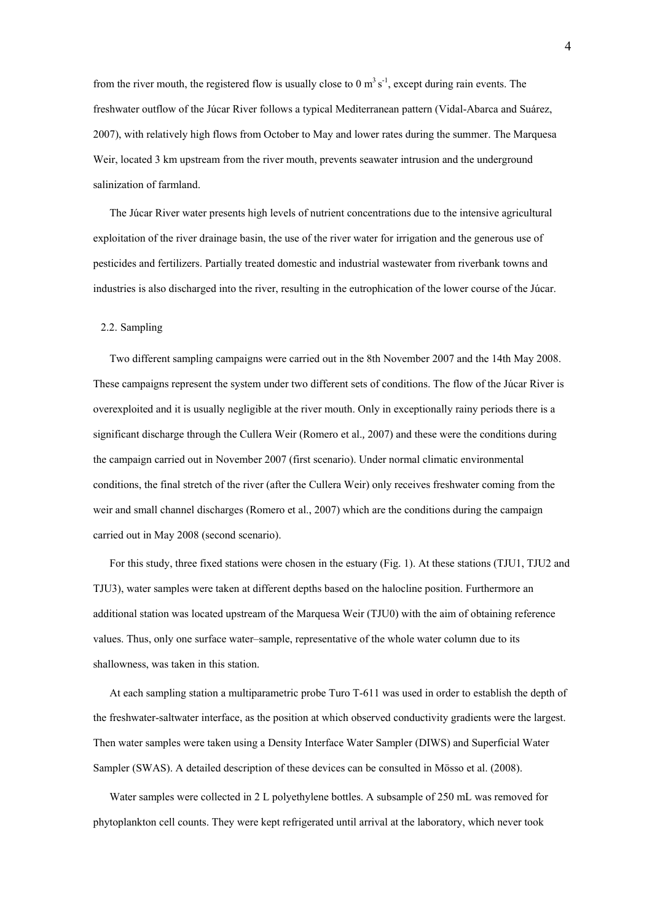from the river mouth, the registered flow is usually close to 0  $\text{m}^3 \text{ s}^{-1}$ , except during rain events. The freshwater outflow of the Júcar River follows a typical Mediterranean pattern (Vidal-Abarca and Suárez, 2007), with relatively high flows from October to May and lower rates during the summer. The Marquesa Weir, located 3 km upstream from the river mouth, prevents seawater intrusion and the underground salinization of farmland.

The Júcar River water presents high levels of nutrient concentrations due to the intensive agricultural exploitation of the river drainage basin, the use of the river water for irrigation and the generous use of pesticides and fertilizers. Partially treated domestic and industrial wastewater from riverbank towns and industries is also discharged into the river, resulting in the eutrophication of the lower course of the Júcar.

## 2.2. Sampling

Two different sampling campaigns were carried out in the 8th November 2007 and the 14th May 2008. These campaigns represent the system under two different sets of conditions. The flow of the Júcar River is overexploited and it is usually negligible at the river mouth. Only in exceptionally rainy periods there is a significant discharge through the Cullera Weir (Romero et al.*,* 2007) and these were the conditions during the campaign carried out in November 2007 (first scenario). Under normal climatic environmental conditions, the final stretch of the river (after the Cullera Weir) only receives freshwater coming from the weir and small channel discharges (Romero et al., 2007) which are the conditions during the campaign carried out in May 2008 (second scenario).

For this study, three fixed stations were chosen in the estuary (Fig. 1). At these stations (TJU1, TJU2 and TJU3), water samples were taken at different depths based on the halocline position. Furthermore an additional station was located upstream of the Marquesa Weir (TJU0) with the aim of obtaining reference values. Thus, only one surface water–sample, representative of the whole water column due to its shallowness, was taken in this station.

At each sampling station a multiparametric probe Turo T-611 was used in order to establish the depth of the freshwater-saltwater interface, as the position at which observed conductivity gradients were the largest. Then water samples were taken using a Density Interface Water Sampler (DIWS) and Superficial Water Sampler (SWAS). A detailed description of these devices can be consulted in Mösso et al. (2008).

Water samples were collected in 2 L polyethylene bottles. A subsample of 250 mL was removed for phytoplankton cell counts. They were kept refrigerated until arrival at the laboratory, which never took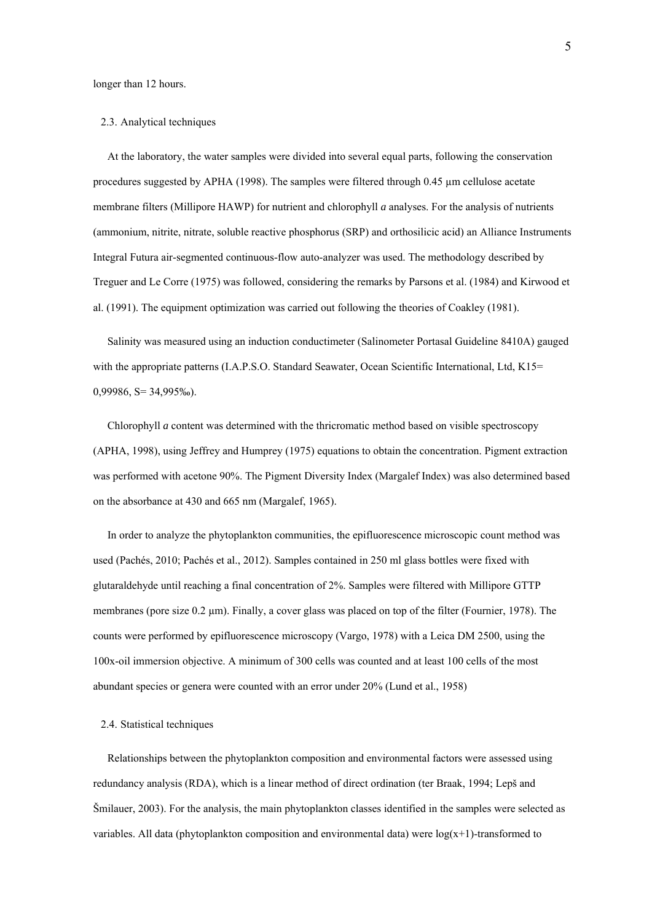longer than 12 hours.

#### 2.3. Analytical techniques

At the laboratory, the water samples were divided into several equal parts, following the conservation procedures suggested by APHA (1998). The samples were filtered through  $0.45 \mu m$  cellulose acetate membrane filters (Millipore HAWP) for nutrient and chlorophyll *a* analyses. For the analysis of nutrients (ammonium, nitrite, nitrate, soluble reactive phosphorus (SRP) and orthosilicic acid) an Alliance Instruments Integral Futura air-segmented continuous-flow auto-analyzer was used. The methodology described by Treguer and Le Corre (1975) was followed, considering the remarks by Parsons et al. (1984) and Kirwood et al. (1991). The equipment optimization was carried out following the theories of Coakley (1981).

Salinity was measured using an induction conductimeter (Salinometer Portasal Guideline 8410A) gauged with the appropriate patterns (I.A.P.S.O. Standard Seawater, Ocean Scientific International, Ltd, K15= 0,99986, S= 34,995‰).

Chlorophyll *a* content was determined with the thricromatic method based on visible spectroscopy (APHA, 1998), using Jeffrey and Humprey (1975) equations to obtain the concentration. Pigment extraction was performed with acetone 90%. The Pigment Diversity Index (Margalef Index) was also determined based on the absorbance at 430 and 665 nm (Margalef, 1965).

In order to analyze the phytoplankton communities, the epifluorescence microscopic count method was used (Pachés, 2010; Pachés et al., 2012). Samples contained in 250 ml glass bottles were fixed with glutaraldehyde until reaching a final concentration of 2%. Samples were filtered with Millipore GTTP membranes (pore size 0.2 µm). Finally, a cover glass was placed on top of the filter (Fournier, 1978). The counts were performed by epifluorescence microscopy (Vargo, 1978) with a Leica DM 2500, using the 100x-oil immersion objective. A minimum of 300 cells was counted and at least 100 cells of the most abundant species or genera were counted with an error under 20% (Lund et al., 1958)

# 2.4. Statistical techniques

Relationships between the phytoplankton composition and environmental factors were assessed using redundancy analysis (RDA), which is a linear method of direct ordination (ter Braak, 1994; Lepš and Šmilauer, 2003). For the analysis, the main phytoplankton classes identified in the samples were selected as variables. All data (phytoplankton composition and environmental data) were  $log(x+1)$ -transformed to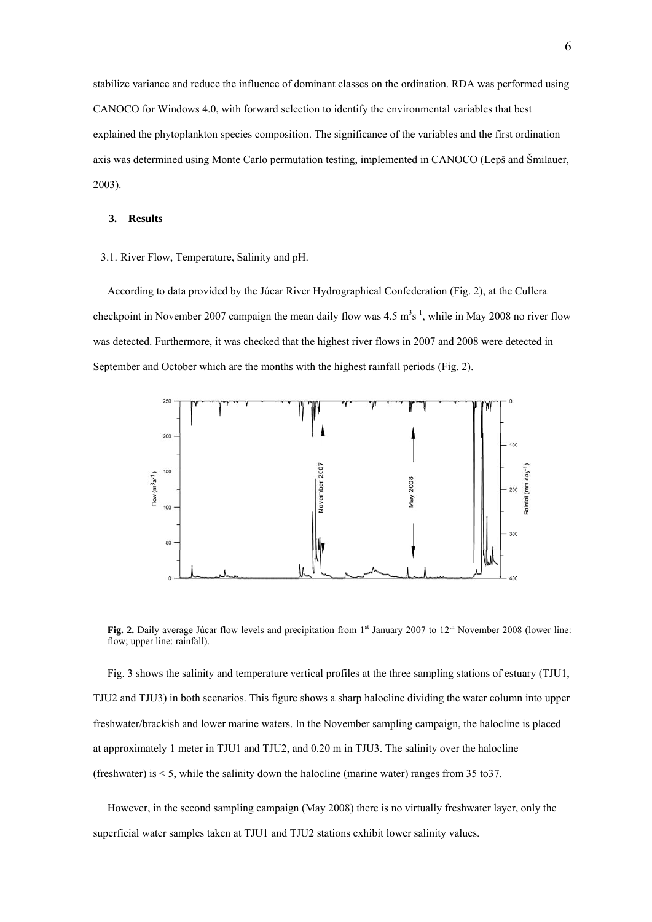stabilize variance and reduce the influence of dominant classes on the ordination. RDA was performed using CANOCO for Windows 4.0, with forward selection to identify the environmental variables that best explained the phytoplankton species composition. The significance of the variables and the first ordination axis was determined using Monte Carlo permutation testing, implemented in CANOCO (Lepš and Šmilauer, 2003).

#### **3. Results**

3.1. River Flow, Temperature, Salinity and pH.

According to data provided by the Júcar River Hydrographical Confederation (Fig. 2), at the Cullera checkpoint in November 2007 campaign the mean daily flow was  $4.5 \text{ m}^3\text{s}^{-1}$ , while in May 2008 no river flow was detected. Furthermore, it was checked that the highest river flows in 2007 and 2008 were detected in September and October which are the months with the highest rainfall periods (Fig. 2).



**Fig. 2.** Daily average Júcar flow levels and precipitation from 1<sup>st</sup> January 2007 to 12<sup>th</sup> November 2008 (lower line: flow; upper line: rainfall).

Fig. 3 shows the salinity and temperature vertical profiles at the three sampling stations of estuary (TJU1, TJU2 and TJU3) in both scenarios. This figure shows a sharp halocline dividing the water column into upper freshwater/brackish and lower marine waters. In the November sampling campaign, the halocline is placed at approximately 1 meter in TJU1 and TJU2, and 0.20 m in TJU3. The salinity over the halocline (freshwater) is  $\leq$  5, while the salinity down the halocline (marine water) ranges from 35 to 37.

However, in the second sampling campaign (May 2008) there is no virtually freshwater layer, only the superficial water samples taken at TJU1 and TJU2 stations exhibit lower salinity values.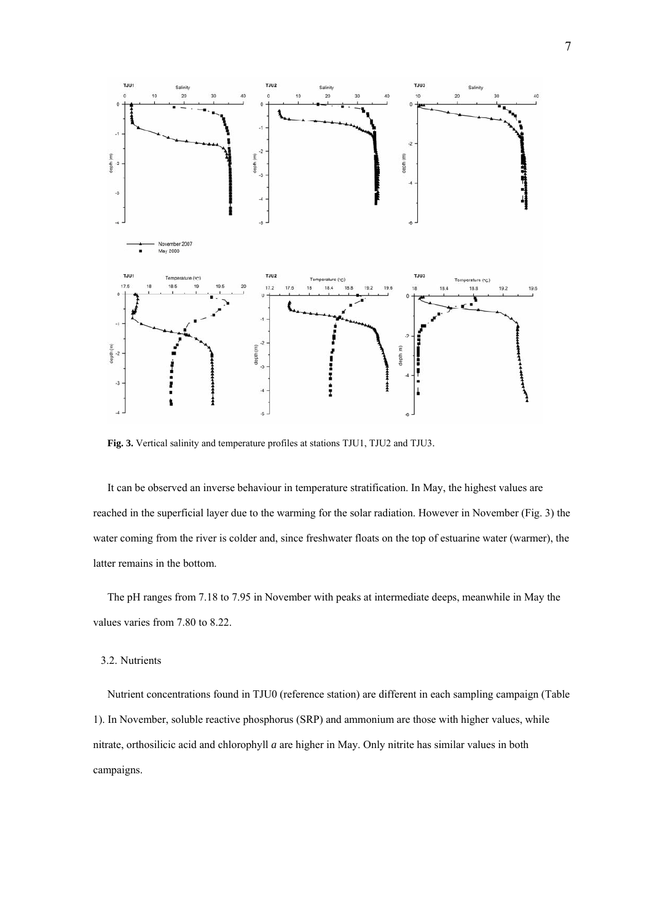

**Fig. 3.** Vertical salinity and temperature profiles at stations TJU1, TJU2 and TJU3.

It can be observed an inverse behaviour in temperature stratification. In May, the highest values are reached in the superficial layer due to the warming for the solar radiation. However in November (Fig. 3) the water coming from the river is colder and, since freshwater floats on the top of estuarine water (warmer), the latter remains in the bottom.

The pH ranges from 7.18 to 7.95 in November with peaks at intermediate deeps, meanwhile in May the values varies from 7.80 to 8.22.

# 3.2. Nutrients

Nutrient concentrations found in TJU0 (reference station) are different in each sampling campaign (Table 1). In November, soluble reactive phosphorus (SRP) and ammonium are those with higher values, while nitrate, orthosilicic acid and chlorophyll *a* are higher in May. Only nitrite has similar values in both campaigns.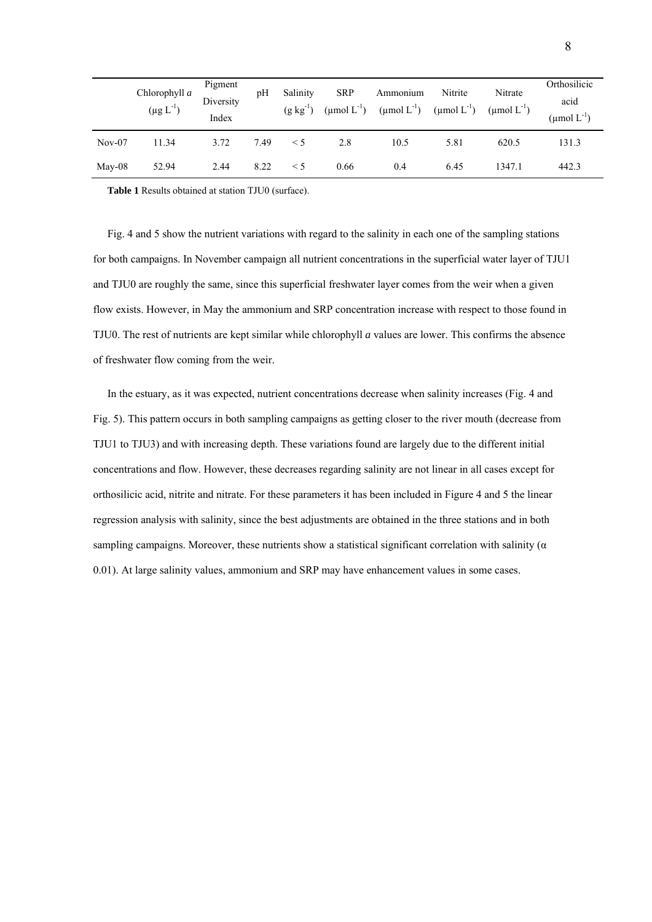|          | Chlorophyll a<br>$(\mu g L^{-1})$ | Pigment<br>Diversity<br>Index | pH   | Salinity<br>$(g \, kg^{-1})$ | <b>SRP</b><br>$(\text{µmol L}^{-1})$ | Ammonium<br>$(\text{µmol L}^{-1})$ | Nitrite<br>$(\mu \text{mol } L^{-1})$ | Nitrate<br>$(\mu$ mol $L^{-1})$ | Orthosilicic<br>acid<br>(µmol $L^{-1}$ ) |
|----------|-----------------------------------|-------------------------------|------|------------------------------|--------------------------------------|------------------------------------|---------------------------------------|---------------------------------|------------------------------------------|
| $Nov-07$ | 11.34                             | 3.72                          | 7.49 | $\leq 5$                     | 2.8                                  | 10.5                               | 5.81                                  | 620.5                           | 131.3                                    |
| $May-08$ | 52.94                             | 2.44                          | 8.22 | $\leq 5$                     | 0.66                                 | 0.4                                | 6.45                                  | 1347.1                          | 442.3                                    |

**Table 1** Results obtained at station TJU0 (surface).

Fig. 4 and 5 show the nutrient variations with regard to the salinity in each one of the sampling stations for both campaigns. In November campaign all nutrient concentrations in the superficial water layer of TJU1 and TJU0 are roughly the same, since this superficial freshwater layer comes from the weir when a given flow exists. However, in May the ammonium and SRP concentration increase with respect to those found in TJU0. The rest of nutrients are kept similar while chlorophyll *a* values are lower. This confirms the absence of freshwater flow coming from the weir.

In the estuary, as it was expected, nutrient concentrations decrease when salinity increases (Fig. 4 and Fig. 5). This pattern occurs in both sampling campaigns as getting closer to the river mouth (decrease from TJU1 to TJU3) and with increasing depth. These variations found are largely due to the different initial concentrations and flow. However, these decreases regarding salinity are not linear in all cases except for orthosilicic acid, nitrite and nitrate. For these parameters it has been included in Figure 4 and 5 the linear regression analysis with salinity, since the best adjustments are obtained in the three stations and in both sampling campaigns. Moreover, these nutrients show a statistical significant correlation with salinity ( $\alpha$ 0.01). At large salinity values, ammonium and SRP may have enhancement values in some cases.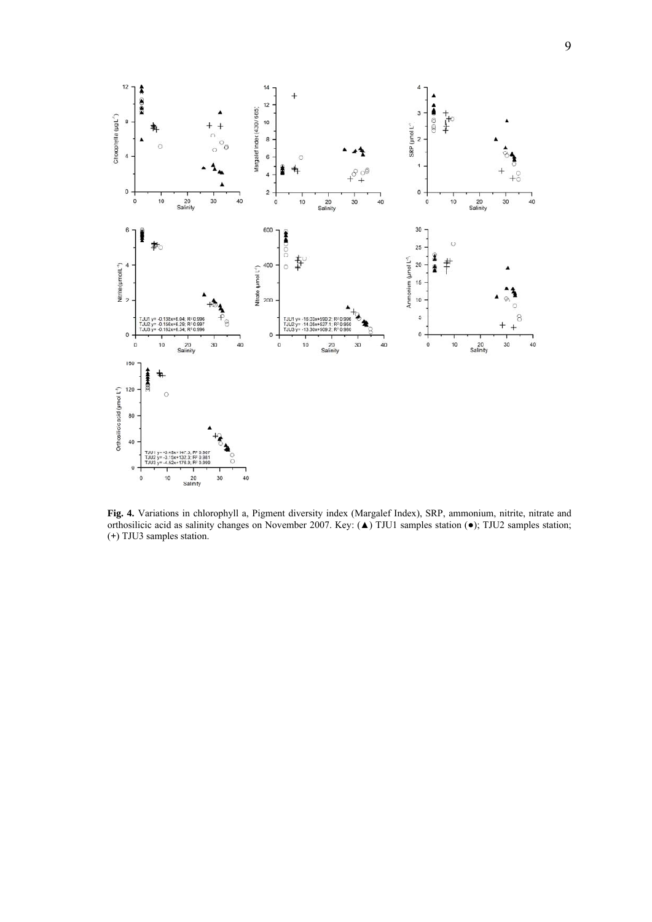

**Fig. 4.** Variations in chlorophyll a, Pigment diversity index (Margalef Index), SRP, ammonium, nitrite, nitrate and orthosilicic acid as salinity changes on November 2007. Key: (▲) TJU1 samples station (●); TJU2 samples station; (**+**) TJU3 samples station.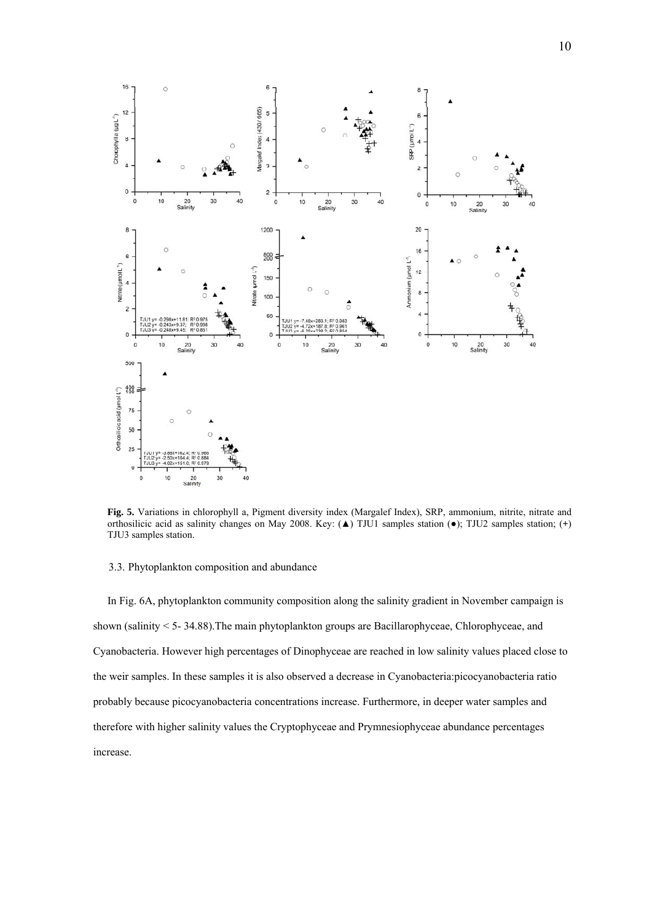

**Fig. 5.** Variations in chlorophyll a, Pigment diversity index (Margalef Index), SRP, ammonium, nitrite, nitrate and orthosilicic acid as salinity changes on May 2008. Key: (▲) TJU1 samples station (●); TJU2 samples station; (**+**) TJU3 samples station.

## 3.3. Phytoplankton composition and abundance

In Fig. 6A, phytoplankton community composition along the salinity gradient in November campaign is shown (salinity < 5- 34.88).The main phytoplankton groups are Bacillarophyceae, Chlorophyceae, and Cyanobacteria. However high percentages of Dinophyceae are reached in low salinity values placed close to the weir samples. In these samples it is also observed a decrease in Cyanobacteria:picocyanobacteria ratio probably because picocyanobacteria concentrations increase. Furthermore, in deeper water samples and therefore with higher salinity values the Cryptophyceae and Prymnesiophyceae abundance percentages increase.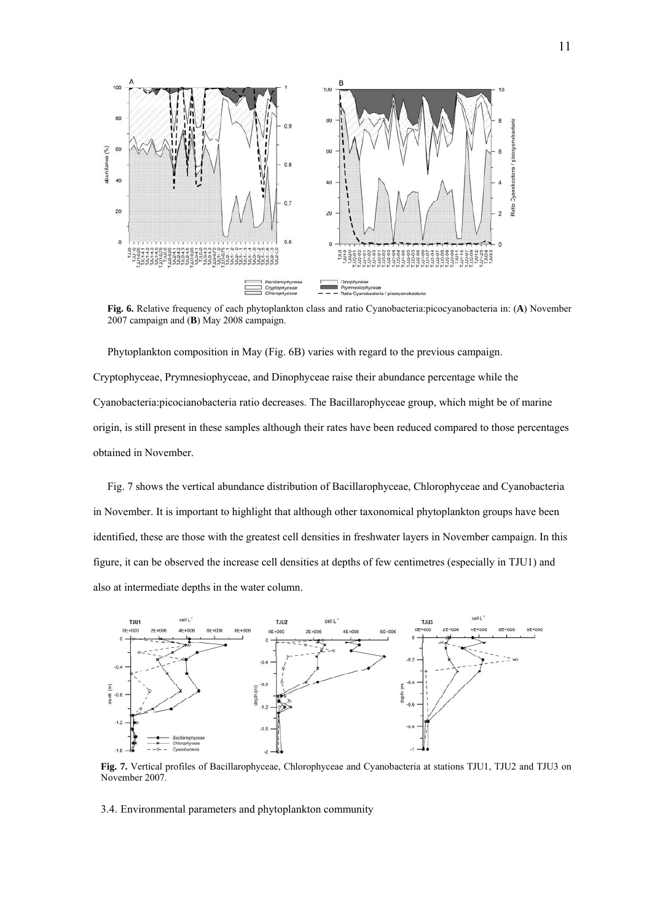

**Fig. 6.** Relative frequency of each phytoplankton class and ratio Cyanobacteria:picocyanobacteria in: (**A**) November 2007 campaign and (**B**) May 2008 campaign.

Phytoplankton composition in May (Fig. 6B) varies with regard to the previous campaign. Cryptophyceae, Prymnesiophyceae, and Dinophyceae raise their abundance percentage while the Cyanobacteria:picocianobacteria ratio decreases. The Bacillarophyceae group, which might be of marine origin, is still present in these samples although their rates have been reduced compared to those percentages obtained in November.

Fig. 7 shows the vertical abundance distribution of Bacillarophyceae, Chlorophyceae and Cyanobacteria in November. It is important to highlight that although other taxonomical phytoplankton groups have been identified, these are those with the greatest cell densities in freshwater layers in November campaign. In this figure, it can be observed the increase cell densities at depths of few centimetres (especially in TJU1) and also at intermediate depths in the water column.



**Fig. 7.** Vertical profiles of Bacillarophyceae, Chlorophyceae and Cyanobacteria at stations TJU1, TJU2 and TJU3 on November 2007.

3.4. Environmental parameters and phytoplankton community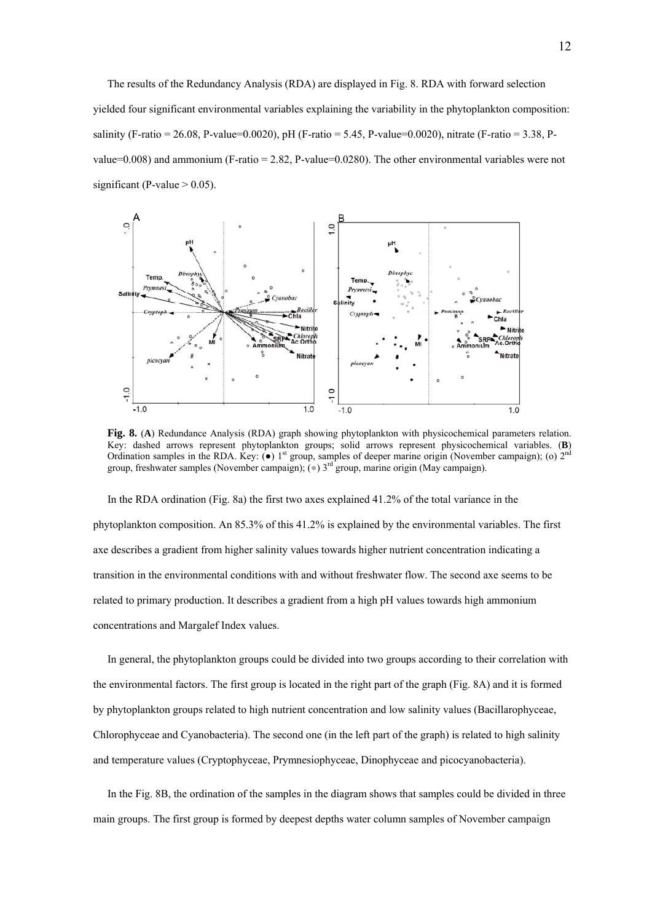The results of the Redundancy Analysis (RDA) are displayed in Fig. 8. RDA with forward selection yielded four significant environmental variables explaining the variability in the phytoplankton composition: salinity (F-ratio = 26.08, P-value=0.0020), pH (F-ratio = 5.45, P-value=0.0020), nitrate (F-ratio = 3.38, Pvalue=0.008) and ammonium (F-ratio =  $2.82$ , P-value=0.0280). The other environmental variables were not significant (P-value  $> 0.05$ ).



**Fig. 8.** (**A**) Redundance Analysis (RDA) graph showing phytoplankton with physicochemical parameters relation. Key: dashed arrows represent phytoplankton groups; solid arrows represent physicochemical variables. (**B**) Ordination samples in the RDA. Key: ( $\bullet$ ) 1<sup>st</sup> group, samples of deeper marine origin (November campaign); (o)  $2^{nc}$ group, freshwater samples (November campaign);  $(\bullet)$  3<sup>rd</sup> group, marine origin (May campaign).

In the RDA ordination (Fig. 8a) the first two axes explained 41.2% of the total variance in the phytoplankton composition. An 85.3% of this 41.2% is explained by the environmental variables. The first axe describes a gradient from higher salinity values towards higher nutrient concentration indicating a transition in the environmental conditions with and without freshwater flow. The second axe seems to be related to primary production. It describes a gradient from a high pH values towards high ammonium concentrations and Margalef Index values.

In general, the phytoplankton groups could be divided into two groups according to their correlation with the environmental factors. The first group is located in the right part of the graph (Fig. 8A) and it is formed by phytoplankton groups related to high nutrient concentration and low salinity values (Bacillarophyceae, Chlorophyceae and Cyanobacteria). The second one (in the left part of the graph) is related to high salinity and temperature values (Cryptophyceae, Prymnesiophyceae, Dinophyceae and picocyanobacteria).

In the Fig. 8B, the ordination of the samples in the diagram shows that samples could be divided in three main groups. The first group is formed by deepest depths water column samples of November campaign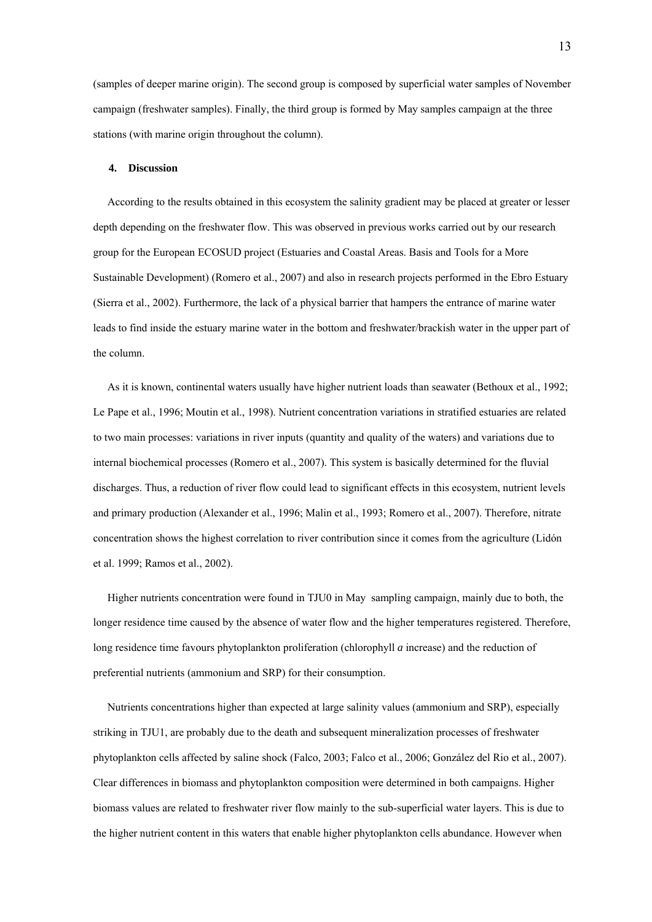(samples of deeper marine origin). The second group is composed by superficial water samples of November campaign (freshwater samples). Finally, the third group is formed by May samples campaign at the three stations (with marine origin throughout the column).

#### **4. Discussion**

According to the results obtained in this ecosystem the salinity gradient may be placed at greater or lesser depth depending on the freshwater flow. This was observed in previous works carried out by our research group for the European ECOSUD project (Estuaries and Coastal Areas. Basis and Tools for a More Sustainable Development) (Romero et al., 2007) and also in research projects performed in the Ebro Estuary (Sierra et al., 2002). Furthermore, the lack of a physical barrier that hampers the entrance of marine water leads to find inside the estuary marine water in the bottom and freshwater/brackish water in the upper part of the column.

As it is known, continental waters usually have higher nutrient loads than seawater (Bethoux et al., 1992; Le Pape et al., 1996; Moutin et al., 1998). Nutrient concentration variations in stratified estuaries are related to two main processes: variations in river inputs (quantity and quality of the waters) and variations due to internal biochemical processes (Romero et al., 2007). This system is basically determined for the fluvial discharges. Thus, a reduction of river flow could lead to significant effects in this ecosystem, nutrient levels and primary production (Alexander et al., 1996; Malin et al., 1993; Romero et al., 2007). Therefore, nitrate concentration shows the highest correlation to river contribution since it comes from the agriculture (Lidón et al. 1999; Ramos et al., 2002).

Higher nutrients concentration were found in TJU0 in May sampling campaign, mainly due to both, the longer residence time caused by the absence of water flow and the higher temperatures registered. Therefore, long residence time favours phytoplankton proliferation (chlorophyll *a* increase) and the reduction of preferential nutrients (ammonium and SRP) for their consumption.

Nutrients concentrations higher than expected at large salinity values (ammonium and SRP), especially striking in TJU1, are probably due to the death and subsequent mineralization processes of freshwater phytoplankton cells affected by saline shock (Falco, 2003; Falco et al., 2006; González del Rio et al., 2007). Clear differences in biomass and phytoplankton composition were determined in both campaigns. Higher biomass values are related to freshwater river flow mainly to the sub-superficial water layers. This is due to the higher nutrient content in this waters that enable higher phytoplankton cells abundance. However when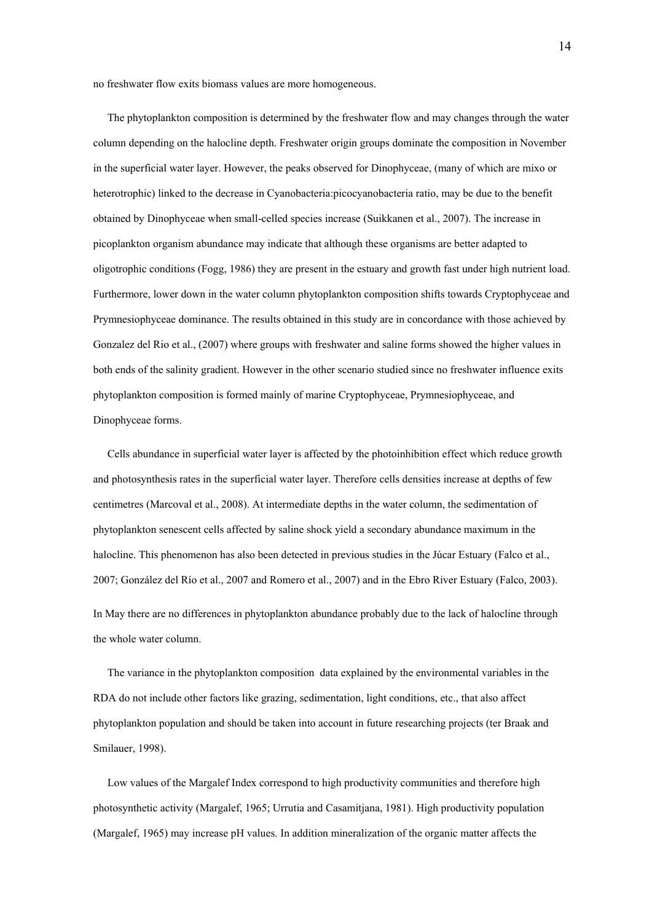no freshwater flow exits biomass values are more homogeneous.

The phytoplankton composition is determined by the freshwater flow and may changes through the water column depending on the halocline depth. Freshwater origin groups dominate the composition in November in the superficial water layer. However, the peaks observed for Dinophyceae, (many of which are mixo or heterotrophic) linked to the decrease in Cyanobacteria:picocyanobacteria ratio, may be due to the benefit obtained by Dinophyceae when small-celled species increase (Suikkanen et al., 2007). The increase in picoplankton organism abundance may indicate that although these organisms are better adapted to oligotrophic conditions (Fogg, 1986) they are present in the estuary and growth fast under high nutrient load. Furthermore, lower down in the water column phytoplankton composition shifts towards Cryptophyceae and Prymnesiophyceae dominance. The results obtained in this study are in concordance with those achieved by Gonzalez del Rio et al., (2007) where groups with freshwater and saline forms showed the higher values in both ends of the salinity gradient. However in the other scenario studied since no freshwater influence exits phytoplankton composition is formed mainly of marine Cryptophyceae, Prymnesiophyceae, and Dinophyceae forms.

Cells abundance in superficial water layer is affected by the photoinhibition effect which reduce growth and photosynthesis rates in the superficial water layer. Therefore cells densities increase at depths of few centimetres (Marcoval et al., 2008). At intermediate depths in the water column, the sedimentation of phytoplankton senescent cells affected by saline shock yield a secondary abundance maximum in the halocline. This phenomenon has also been detected in previous studies in the Júcar Estuary (Falco et al., 2007; González del Río et al., 2007 and Romero et al., 2007) and in the Ebro River Estuary (Falco, 2003). In May there are no differences in phytoplankton abundance probably due to the lack of halocline through the whole water column.

The variance in the phytoplankton composition data explained by the environmental variables in the RDA do not include other factors like grazing, sedimentation, light conditions, etc., that also affect phytoplankton population and should be taken into account in future researching projects (ter Braak and Smilauer, 1998).

Low values of the Margalef Index correspond to high productivity communities and therefore high photosynthetic activity (Margalef, 1965; Urrutia and Casamitjana, 1981). High productivity population (Margalef, 1965) may increase pH values. In addition mineralization of the organic matter affects the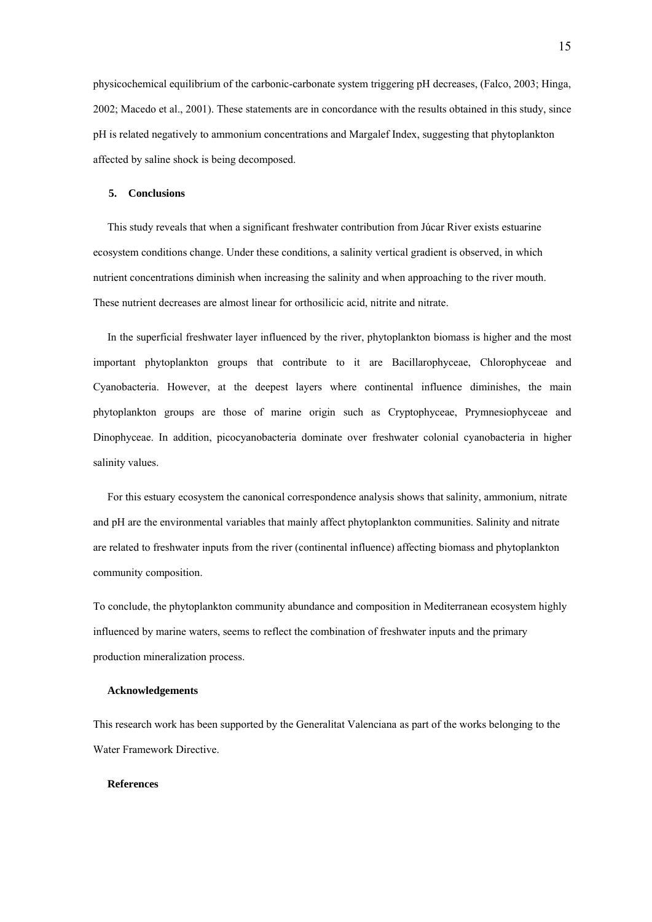physicochemical equilibrium of the carbonic-carbonate system triggering pH decreases, (Falco, 2003; Hinga, 2002; Macedo et al., 2001). These statements are in concordance with the results obtained in this study, since pH is related negatively to ammonium concentrations and Margalef Index, suggesting that phytoplankton affected by saline shock is being decomposed.

## **5. Conclusions**

This study reveals that when a significant freshwater contribution from Júcar River exists estuarine ecosystem conditions change. Under these conditions, a salinity vertical gradient is observed, in which nutrient concentrations diminish when increasing the salinity and when approaching to the river mouth. These nutrient decreases are almost linear for orthosilicic acid, nitrite and nitrate.

In the superficial freshwater layer influenced by the river, phytoplankton biomass is higher and the most important phytoplankton groups that contribute to it are Bacillarophyceae, Chlorophyceae and Cyanobacteria. However, at the deepest layers where continental influence diminishes, the main phytoplankton groups are those of marine origin such as Cryptophyceae, Prymnesiophyceae and Dinophyceae. In addition, picocyanobacteria dominate over freshwater colonial cyanobacteria in higher salinity values.

For this estuary ecosystem the canonical correspondence analysis shows that salinity, ammonium, nitrate and pH are the environmental variables that mainly affect phytoplankton communities. Salinity and nitrate are related to freshwater inputs from the river (continental influence) affecting biomass and phytoplankton community composition.

To conclude, the phytoplankton community abundance and composition in Mediterranean ecosystem highly influenced by marine waters, seems to reflect the combination of freshwater inputs and the primary production mineralization process.

# **Acknowledgements**

This research work has been supported by the Generalitat Valenciana as part of the works belonging to the Water Framework Directive.

# **References**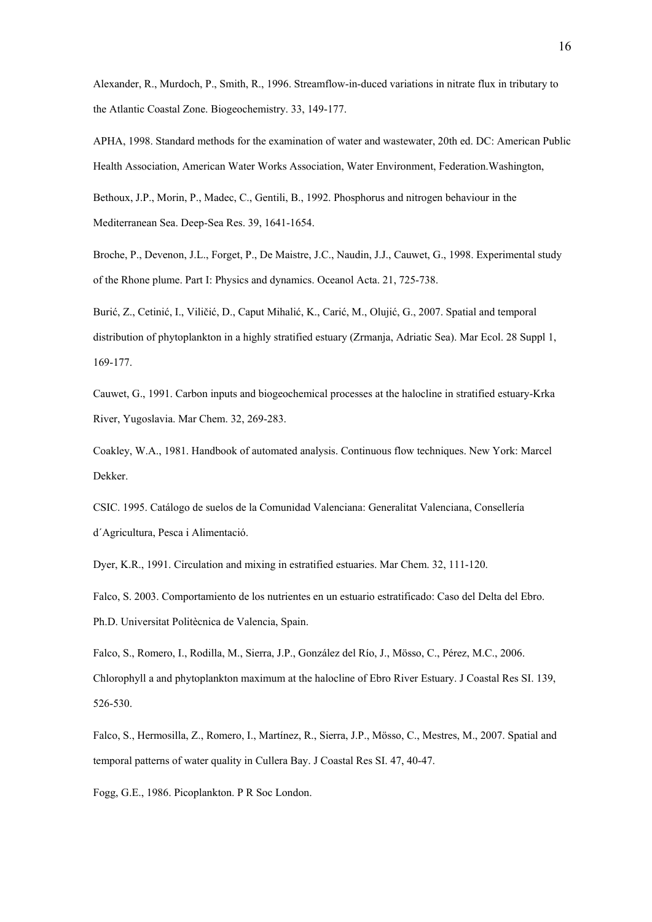Alexander, R., Murdoch, P., Smith, R., 1996. Streamflow-in-duced variations in nitrate flux in tributary to the Atlantic Coastal Zone. Biogeochemistry. 33, 149-177.

APHA, 1998. Standard methods for the examination of water and wastewater, 20th ed. DC: American Public Health Association, American Water Works Association, Water Environment, Federation.Washington,

Bethoux, J.P., Morin, P., Madec, C., Gentili, B., 1992. Phosphorus and nitrogen behaviour in the Mediterranean Sea. Deep-Sea Res. 39, 1641-1654.

Broche, P., Devenon, J.L., Forget, P., De Maistre, J.C., Naudin, J.J., Cauwet, G., 1998. Experimental study of the Rhone plume. Part I: Physics and dynamics. Oceanol Acta. 21, 725-738.

Burić, Z., Cetinić, I., Viličić, D., Caput Mihalić, K., Carić, M., Olujić, G., 2007. Spatial and temporal distribution of phytoplankton in a highly stratified estuary (Zrmanja, Adriatic Sea). Mar Ecol. 28 Suppl 1, 169-177.

Cauwet, G., 1991. Carbon inputs and biogeochemical processes at the halocline in stratified estuary-Krka River, Yugoslavia. Mar Chem. 32, 269-283.

Coakley, W.A., 1981. Handbook of automated analysis. Continuous flow techniques. New York: Marcel Dekker.

CSIC. 1995. Catálogo de suelos de la Comunidad Valenciana: Generalitat Valenciana, Consellería d´Agricultura, Pesca i Alimentació.

Dyer, K.R., 1991. Circulation and mixing in estratified estuaries. Mar Chem. 32, 111-120.

Falco, S. 2003. Comportamiento de los nutrientes en un estuario estratificado: Caso del Delta del Ebro. Ph.D. Universitat Politècnica de Valencia, Spain.

Falco, S., Romero, I., Rodilla, M., Sierra, J.P., González del Río, J., Mösso, C., Pérez, M.C., 2006. Chlorophyll a and phytoplankton maximum at the halocline of Ebro River Estuary. J Coastal Res SI. 139, 526-530.

Falco, S., Hermosilla, Z., Romero, I., Martínez, R., Sierra, J.P., Mösso, C., Mestres, M., 2007. Spatial and temporal patterns of water quality in Cullera Bay. J Coastal Res SI. 47, 40-47.

Fogg, G.E., 1986. Picoplankton. P R Soc London.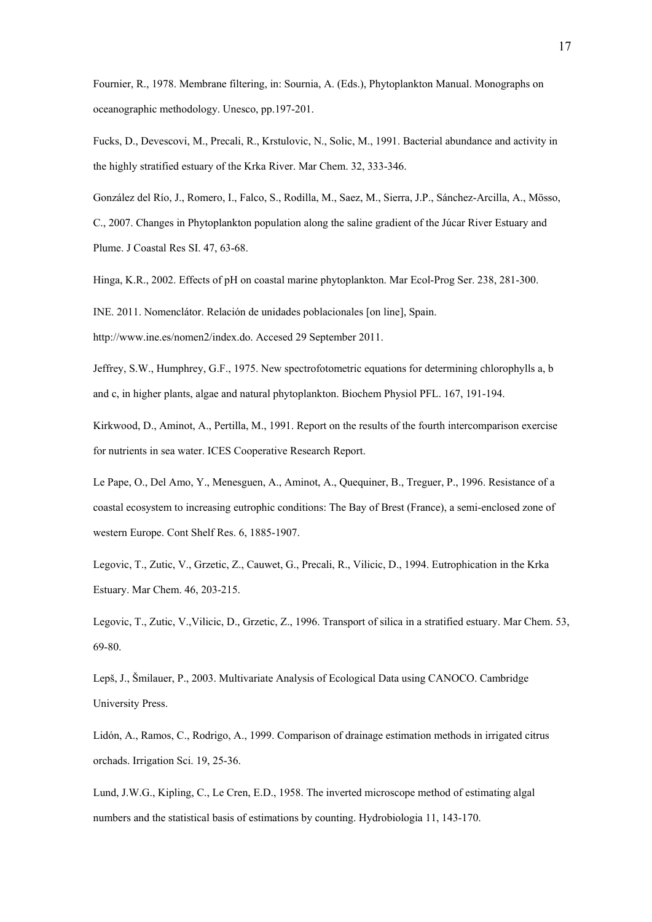Fournier, R., 1978. Membrane filtering, in: Sournia, A. (Eds.), Phytoplankton Manual. Monographs on oceanographic methodology. Unesco, pp.197-201.

Fucks, D., Devescovi, M., Precali, R., Krstulovic, N., Solic, M., 1991. Bacterial abundance and activity in the highly stratified estuary of the Krka River. Mar Chem. 32, 333-346.

González del Río, J., Romero, I., Falco, S., Rodilla, M., Saez, M., Sierra, J.P., Sánchez-Arcilla, A., Mösso, C., 2007. Changes in Phytoplankton population along the saline gradient of the Júcar River Estuary and Plume. J Coastal Res SI. 47, 63-68.

Hinga, K.R., 2002. Effects of pH on coastal marine phytoplankton. Mar Ecol-Prog Ser. 238, 281-300.

INE. 2011. Nomenclátor. Relación de unidades poblacionales [on line], Spain.

http://www.ine.es/nomen2/index.do. Accesed 29 September 2011.

Jeffrey, S.W., Humphrey, G.F., 1975. New spectrofotometric equations for determining chlorophylls a, b and c, in higher plants, algae and natural phytoplankton. Biochem Physiol PFL. 167, 191-194.

Kirkwood, D., Aminot, A., Pertilla, M., 1991. Report on the results of the fourth intercomparison exercise for nutrients in sea water. ICES Cooperative Research Report.

Le Pape, O., Del Amo, Y., Menesguen, A., Aminot, A., Quequiner, B., Treguer, P., 1996. Resistance of a coastal ecosystem to increasing eutrophic conditions: The Bay of Brest (France), a semi-enclosed zone of western Europe. Cont Shelf Res. 6, 1885-1907.

Legovic, T., Zutic, V., Grzetic, Z., Cauwet, G., Precali, R., Vilicic, D., 1994. Eutrophication in the Krka Estuary. Mar Chem. 46, 203-215.

Legovic, T., Zutic, V.,Vilicic, D., Grzetic, Z., 1996. Transport of silica in a stratified estuary. Mar Chem. 53, 69-80.

Lepš, J., Šmilauer, P., 2003. Multivariate Analysis of Ecological Data using CANOCO. Cambridge University Press.

Lidón, A., Ramos, C., Rodrigo, A., 1999. Comparison of drainage estimation methods in irrigated citrus orchads. Irrigation Sci. 19, 25-36.

Lund, J.W.G., Kipling, C., Le Cren, E.D., 1958. The inverted microscope method of estimating algal numbers and the statistical basis of estimations by counting. Hydrobiologia 11, 143-170.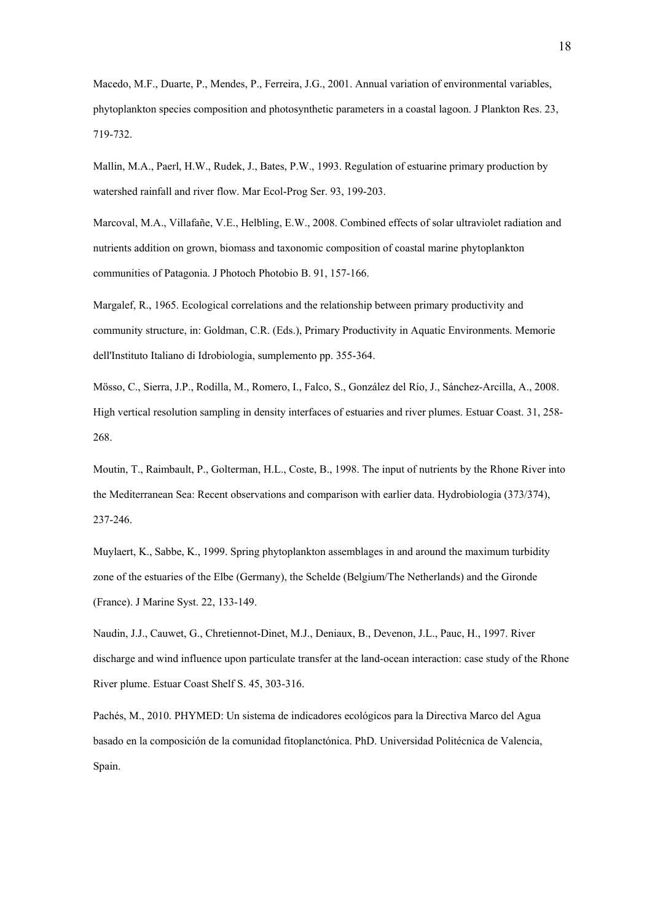Macedo, M.F., Duarte, P., Mendes, P., Ferreira, J.G., 2001. Annual variation of environmental variables, phytoplankton species composition and photosynthetic parameters in a coastal lagoon. J Plankton Res. 23, 719-732.

Mallin, M.A., Paerl, H.W., Rudek, J., Bates, P.W., 1993. Regulation of estuarine primary production by watershed rainfall and river flow. Mar Ecol-Prog Ser. 93, 199-203.

Marcoval, M.A., Villafañe, V.E., Helbling, E.W., 2008. Combined effects of solar ultraviolet radiation and nutrients addition on grown, biomass and taxonomic composition of coastal marine phytoplankton communities of Patagonia. J Photoch Photobio B. 91, 157-166.

Margalef, R., 1965. Ecological correlations and the relationship between primary productivity and community structure, in: Goldman, C.R. (Eds.), Primary Productivity in Aquatic Environments. Memorie dell'Instituto Italiano di Idrobiologia, sumplemento pp. 355-364.

Mösso, C., Sierra, J.P., Rodilla, M., Romero, I., Falco, S., González del Río, J., Sánchez-Arcilla, A., 2008. High vertical resolution sampling in density interfaces of estuaries and river plumes. Estuar Coast. 31, 258- 268.

Moutin, T., Raimbault, P., Golterman, H.L., Coste, B., 1998. The input of nutrients by the Rhone River into the Mediterranean Sea: Recent observations and comparison with earlier data. Hydrobiologia (373/374), 237-246.

Muylaert, K., Sabbe, K., 1999. Spring phytoplankton assemblages in and around the maximum turbidity zone of the estuaries of the Elbe (Germany), the Schelde (Belgium/The Netherlands) and the Gironde (France). J Marine Syst. 22, 133-149.

Naudin, J.J., Cauwet, G., Chretiennot-Dinet, M.J., Deniaux, B., Devenon, J.L., Pauc, H., 1997. River discharge and wind influence upon particulate transfer at the land-ocean interaction: case study of the Rhone River plume. Estuar Coast Shelf S. 45, 303-316.

Pachés, M., 2010. PHYMED: Un sistema de indicadores ecológicos para la Directiva Marco del Agua basado en la composición de la comunidad fitoplanctónica. PhD. Universidad Politécnica de Valencia, Spain.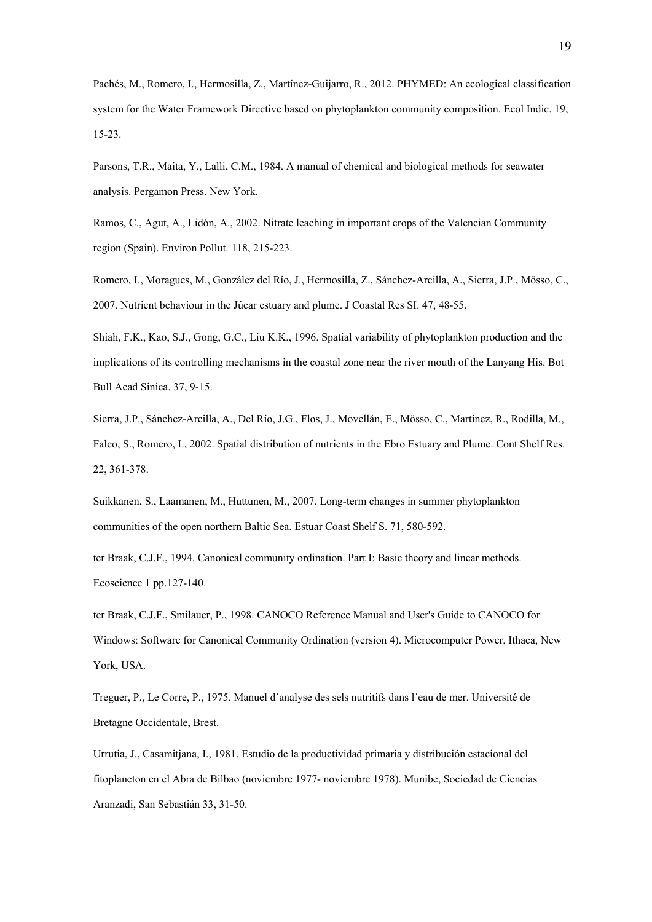Pachés, M., Romero, I., Hermosilla, Z., Martínez-Guijarro, R., 2012. PHYMED: An ecological classification system for the Water Framework Directive based on phytoplankton community composition. Ecol Indic. 19, 15-23.

Parsons, T.R., Maita, Y., Lalli, C.M., 1984. A manual of chemical and biological methods for seawater analysis. Pergamon Press. New York.

Ramos, C., Agut, A., Lidón, A., 2002. Nitrate leaching in important crops of the Valencian Community region (Spain). Environ Pollut. 118, 215-223.

Romero, I., Moragues, M., González del Río, J., Hermosilla, Z., Sánchez-Arcilla, A., Sierra, J.P., Mösso, C., 2007. Nutrient behaviour in the Júcar estuary and plume. J Coastal Res SI. 47, 48-55.

Shiah, F.K., Kao, S.J., Gong, G.C., Liu K.K., 1996. Spatial variability of phytoplankton production and the implications of its controlling mechanisms in the coastal zone near the river mouth of the Lanyang His. Bot Bull Acad Sinica. 37, 9-15.

Sierra, J.P., Sánchez-Arcilla, A., Del Río, J.G., Flos, J., Movellán, E., Mösso, C., Martínez, R., Rodilla, M., Falco, S., Romero, I., 2002. Spatial distribution of nutrients in the Ebro Estuary and Plume. Cont Shelf Res. 22, 361-378.

Suikkanen, S., Laamanen, M., Huttunen, M., 2007. Long-term changes in summer phytoplankton communities of the open northern Baltic Sea. Estuar Coast Shelf S. 71, 580-592.

ter Braak, C.J.F., 1994. Canonical community ordination. Part I: Basic theory and linear methods. Ecoscience 1 pp.127-140.

ter Braak, C.J.F., Smilauer, P., 1998. CANOCO Reference Manual and User's Guide to CANOCO for Windows: Software for Canonical Community Ordination (version 4). Microcomputer Power, Ithaca, New York, USA.

Treguer, P., Le Corre, P., 1975. Manuel d´analyse des sels nutritifs dans l´eau de mer. Université de Bretagne Occidentale, Brest.

Urrutia, J., Casamitjana, I., 1981. Estudio de la productividad primaria y distribución estacional del fitoplancton en el Abra de Bilbao (noviembre 1977- noviembre 1978). Munibe, Sociedad de Ciencias Aranzadi, San Sebastián 33, 31-50.